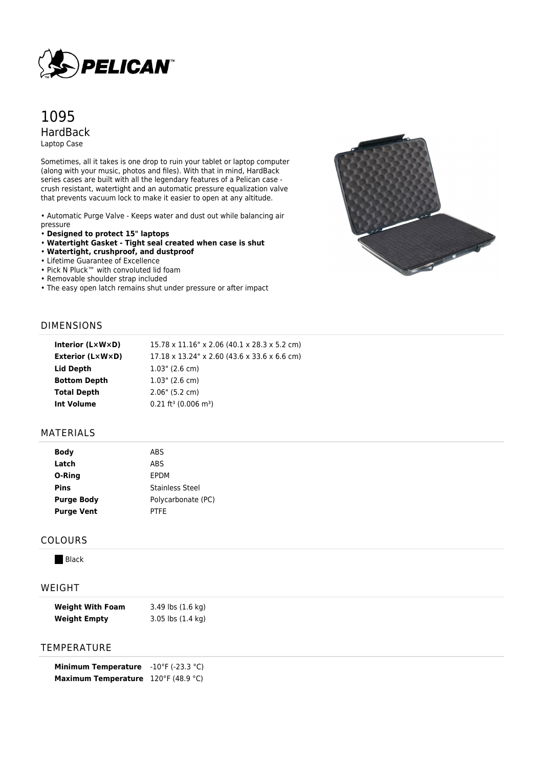

# 1095 HardBack Laptop Case

Sometimes, all it takes is one drop to ruin your tablet or laptop computer (along with your music, photos and files). With that in mind, HardBack series cases are built with all the legendary features of a Pelican case crush resistant, watertight and an automatic pressure equalization valve that prevents vacuum lock to make it easier to open at any altitude.

• Automatic Purge Valve - Keeps water and dust out while balancing air pressure

- **Designed to protect 15" laptops**
- **Watertight Gasket Tight seal created when case is shut**
- **Watertight, crushproof, and dustproof**
- Lifetime Guarantee of Excellence
- Pick N Pluck™ with convoluted lid foam
- Removable shoulder strap included
- The easy open latch remains shut under pressure or after impact



## DIMENSIONS

| Interior (LxWxD)        | 15.78 x 11.16" x 2.06 (40.1 x 28.3 x 5.2 cm)   |
|-------------------------|------------------------------------------------|
| <b>Exterior (L×W×D)</b> | 17.18 x 13.24" x 2.60 (43.6 x 33.6 x 6.6 cm)   |
| Lid Depth               | $1.03$ " (2.6 cm)                              |
| <b>Bottom Depth</b>     | $1.03$ " (2.6 cm)                              |
| <b>Total Depth</b>      | 2.06" (5.2 cm)                                 |
| Int Volume              | $0.21$ ft <sup>3</sup> (0.006 m <sup>3</sup> ) |
|                         |                                                |

#### MATERIALS

| <b>Body</b>       | <b>ABS</b>             |
|-------------------|------------------------|
| Latch             | ABS                    |
| O-Ring            | EPDM                   |
| <b>Pins</b>       | <b>Stainless Steel</b> |
| <b>Purge Body</b> | Polycarbonate (PC)     |
| <b>Purge Vent</b> | <b>PTFE</b>            |
|                   |                        |

#### COLOURS

**Black** 

## WEIGHT

| <b>Weight With Foam</b> | 3.49 lbs (1.6 kg)             |
|-------------------------|-------------------------------|
| <b>Weight Empty</b>     | $3.05$ lbs $(1.4 \text{ kg})$ |

### TEMPERATURE

| <b>Minimum Temperature</b> | $-10^{\circ}$ F (-23.3 °C) |
|----------------------------|----------------------------|
| <b>Maximum Temperature</b> | 120°F (48.9 °C)            |